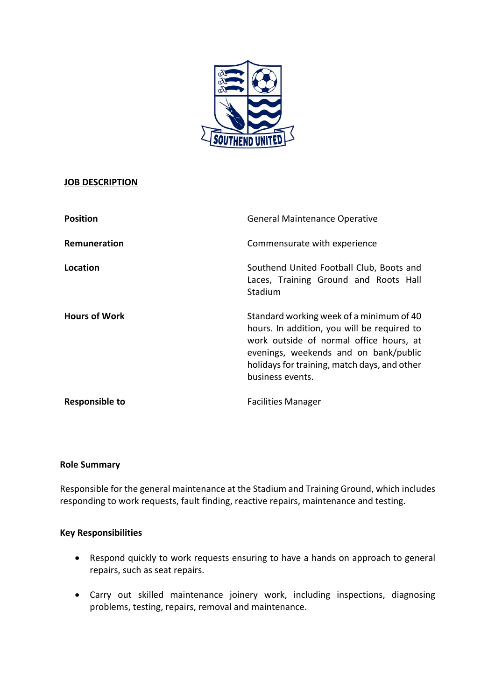

# **JOB DESCRIPTION**

| <b>Position</b>       | <b>General Maintenance Operative</b>                                                                                                                                                                                                            |
|-----------------------|-------------------------------------------------------------------------------------------------------------------------------------------------------------------------------------------------------------------------------------------------|
| Remuneration          | Commensurate with experience                                                                                                                                                                                                                    |
| Location              | Southend United Football Club, Boots and<br>Laces, Training Ground and Roots Hall<br>Stadium                                                                                                                                                    |
| <b>Hours of Work</b>  | Standard working week of a minimum of 40<br>hours. In addition, you will be required to<br>work outside of normal office hours, at<br>evenings, weekends and on bank/public<br>holidays for training, match days, and other<br>business events. |
| <b>Responsible to</b> | <b>Facilities Manager</b>                                                                                                                                                                                                                       |

### **Role Summary**

Responsible for the general maintenance at the Stadium and Training Ground, which includes responding to work requests, fault finding, reactive repairs, maintenance and testing.

### **Key Responsibilities**

- Respond quickly to work requests ensuring to have a hands on approach to general repairs, such as seat repairs.
- Carry out skilled maintenance joinery work, including inspections, diagnosing problems, testing, repairs, removal and maintenance.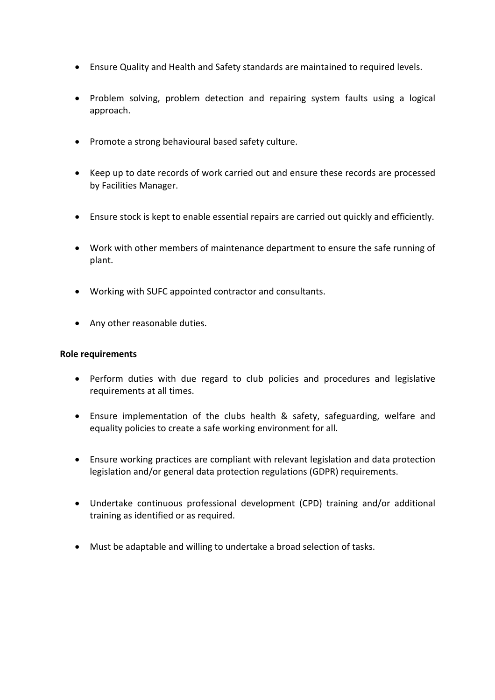- Ensure Quality and Health and Safety standards are maintained to required levels.
- Problem solving, problem detection and repairing system faults using a logical approach.
- Promote a strong behavioural based safety culture.
- Keep up to date records of work carried out and ensure these records are processed by Facilities Manager.
- Ensure stock is kept to enable essential repairs are carried out quickly and efficiently.
- Work with other members of maintenance department to ensure the safe running of plant.
- Working with SUFC appointed contractor and consultants.
- Any other reasonable duties.

### **Role requirements**

- Perform duties with due regard to club policies and procedures and legislative requirements at all times.
- Ensure implementation of the clubs health & safety, safeguarding, welfare and equality policies to create a safe working environment for all.
- Ensure working practices are compliant with relevant legislation and data protection legislation and/or general data protection regulations (GDPR) requirements.
- Undertake continuous professional development (CPD) training and/or additional training as identified or as required.
- Must be adaptable and willing to undertake a broad selection of tasks.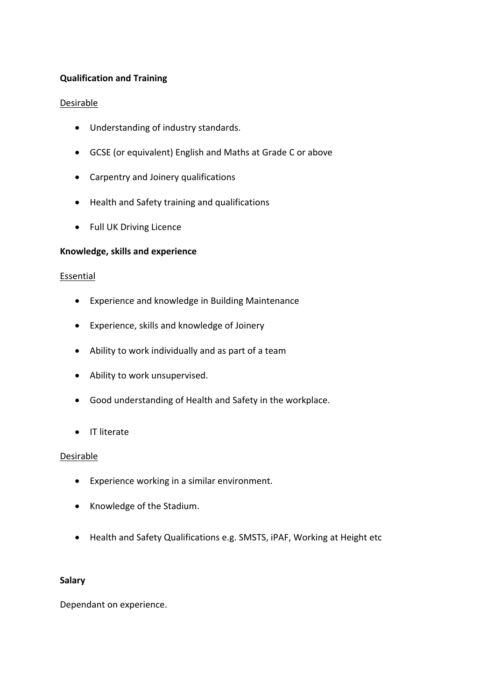# **Qualification and Training**

#### **Desirable**

- Understanding of industry standards.
- GCSE (or equivalent) English and Maths at Grade C or above
- Carpentry and Joinery qualifications
- Health and Safety training and qualifications
- Full UK Driving Licence

### **Knowledge, skills and experience**

### **Essential**

- Experience and knowledge in Building Maintenance
- Experience, skills and knowledge of Joinery
- Ability to work individually and as part of a team
- Ability to work unsupervised.
- Good understanding of Health and Safety in the workplace.
- IT literate

#### Desirable

- Experience working in a similar environment.
- Knowledge of the Stadium.
- Health and Safety Qualifications e.g. SMSTS, iPAF, Working at Height etc

### **Salary**

Dependant on experience.